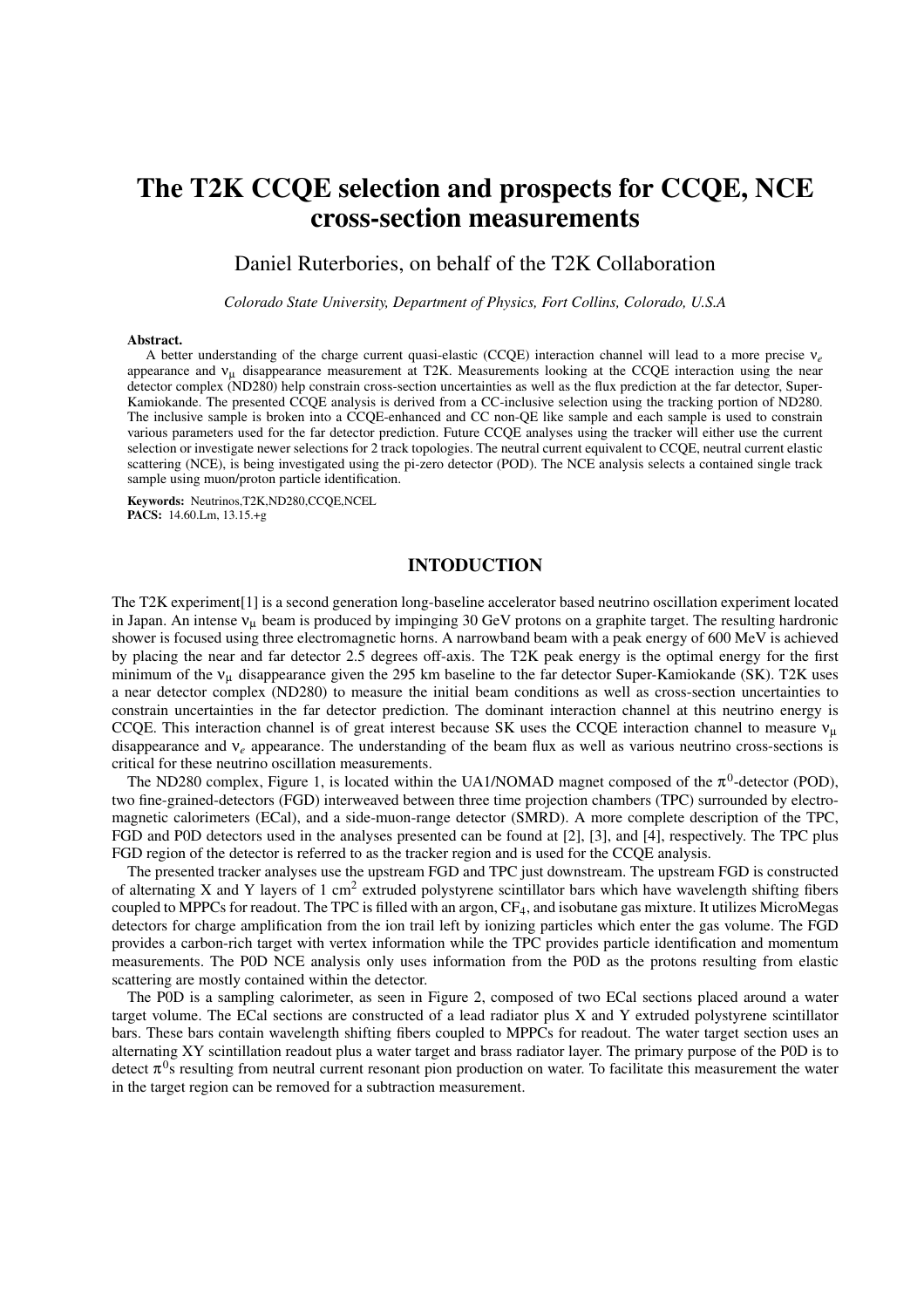# The T2K CCQE selection and prospects for CCQE, NCE cross-section measurements

## Daniel Ruterbories, on behalf of the T2K Collaboration

*Colorado State University, Department of Physics, Fort Collins, Colorado, U.S.A*

#### Abstract.

A better understanding of the charge current quasi-elastic (CCQE) interaction channel will lead to a more precise ν*e* appearance and  $v<sub>u</sub>$  disappearance measurement at T2K. Measurements looking at the CCQE interaction using the near detector complex (ND280) help constrain cross-section uncertainties as well as the flux prediction at the far detector, Super-Kamiokande. The presented CCQE analysis is derived from a CC-inclusive selection using the tracking portion of ND280. The inclusive sample is broken into a CCQE-enhanced and CC non-QE like sample and each sample is used to constrain various parameters used for the far detector prediction. Future CCQE analyses using the tracker will either use the current selection or investigate newer selections for 2 track topologies. The neutral current equivalent to CCQE, neutral current elastic scattering (NCE), is being investigated using the pi-zero detector (POD). The NCE analysis selects a contained single track sample using muon/proton particle identification.

Keywords: Neutrinos,T2K,ND280,CCQE,NCEL PACS: 14.60.Lm, 13.15.+g

#### INTODUCTION

The T2K experiment[1] is a second generation long-baseline accelerator based neutrino oscillation experiment located in Japan. An intense  $v_{\mu}$  beam is produced by impinging 30 GeV protons on a graphite target. The resulting hardronic shower is focused using three electromagnetic horns. A narrowband beam with a peak energy of 600 MeV is achieved by placing the near and far detector 2.5 degrees off-axis. The T2K peak energy is the optimal energy for the first minimum of the  $v<sub>u</sub>$  disappearance given the 295 km baseline to the far detector Super-Kamiokande (SK). T2K uses a near detector complex (ND280) to measure the initial beam conditions as well as cross-section uncertainties to constrain uncertainties in the far detector prediction. The dominant interaction channel at this neutrino energy is CCQE. This interaction channel is of great interest because SK uses the CCQE interaction channel to measure  $v<sub>u</sub>$ disappearance and  $v_e$  appearance. The understanding of the beam flux as well as various neutrino cross-sections is critical for these neutrino oscillation measurements.

The ND280 complex, Figure 1, is located within the UA1/NOMAD magnet composed of the  $\pi^0$ -detector (POD), two fine-grained-detectors (FGD) interweaved between three time projection chambers (TPC) surrounded by electromagnetic calorimeters (ECal), and a side-muon-range detector (SMRD). A more complete description of the TPC, FGD and P0D detectors used in the analyses presented can be found at [2], [3], and [4], respectively. The TPC plus FGD region of the detector is referred to as the tracker region and is used for the CCQE analysis.

The presented tracker analyses use the upstream FGD and TPC just downstream. The upstream FGD is constructed of alternating X and Y layers of 1 cm<sup>2</sup> extruded polystyrene scintillator bars which have wavelength shifting fibers coupled to MPPCs for readout. The TPC is filled with an argon, CF<sub>4</sub>, and isobutane gas mixture. It utilizes MicroMegas detectors for charge amplification from the ion trail left by ionizing particles which enter the gas volume. The FGD provides a carbon-rich target with vertex information while the TPC provides particle identification and momentum measurements. The P0D NCE analysis only uses information from the P0D as the protons resulting from elastic scattering are mostly contained within the detector.

The P0D is a sampling calorimeter, as seen in Figure 2, composed of two ECal sections placed around a water target volume. The ECal sections are constructed of a lead radiator plus X and Y extruded polystyrene scintillator bars. These bars contain wavelength shifting fibers coupled to MPPCs for readout. The water target section uses an alternating XY scintillation readout plus a water target and brass radiator layer. The primary purpose of the P0D is to detect  $\pi^0$ s resulting from neutral current resonant pion production on water. To facilitate this measurement the water in the target region can be removed for a subtraction measurement.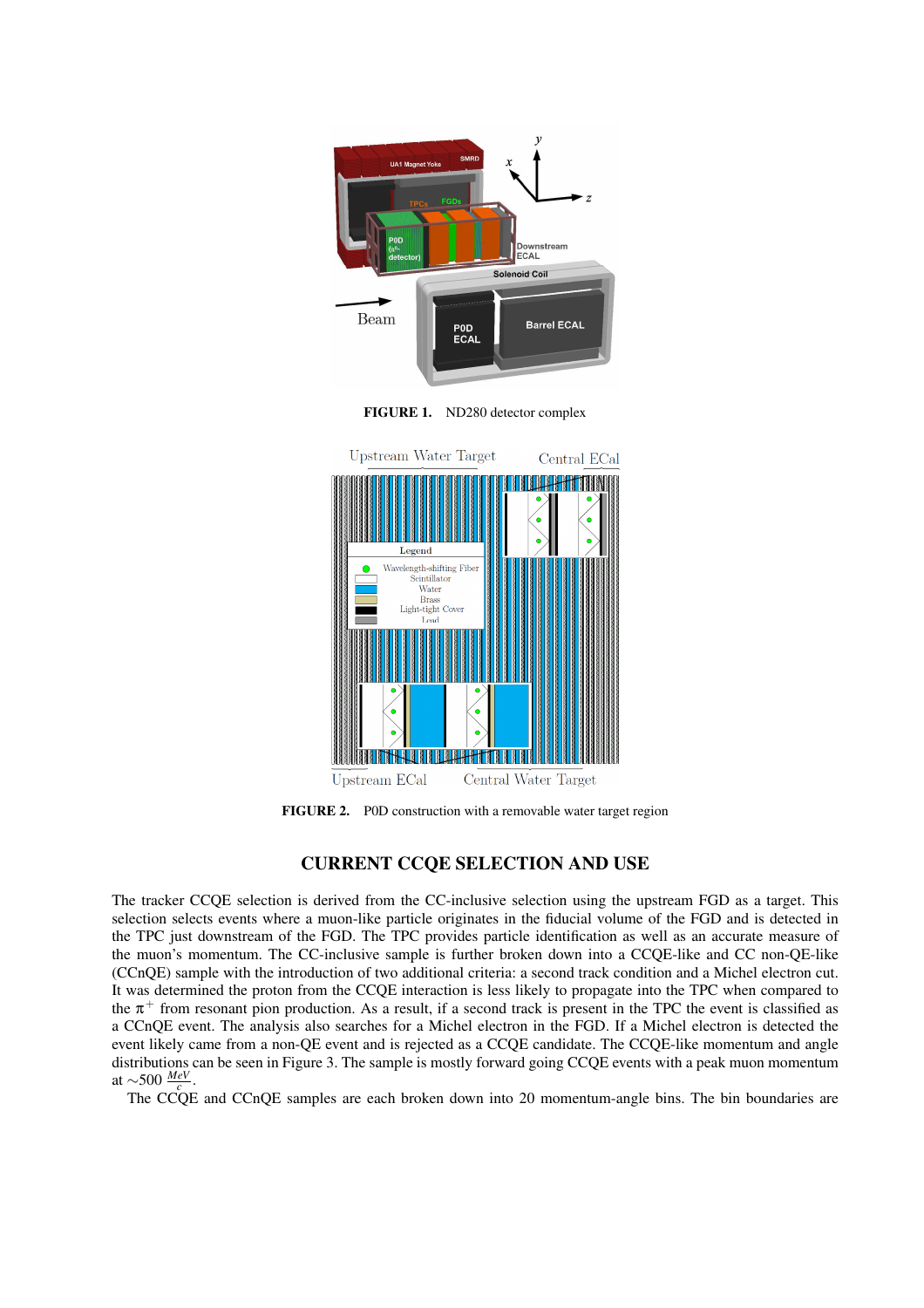





FIGURE 2. P0D construction with a removable water target region

### CURRENT CCQE SELECTION AND USE

The tracker CCQE selection is derived from the CC-inclusive selection using the upstream FGD as a target. This selection selects events where a muon-like particle originates in the fiducial volume of the FGD and is detected in the TPC just downstream of the FGD. The TPC provides particle identification as well as an accurate measure of the muon's momentum. The CC-inclusive sample is further broken down into a CCQE-like and CC non-QE-like (CCnQE) sample with the introduction of two additional criteria: a second track condition and a Michel electron cut. It was determined the proton from the CCQE interaction is less likely to propagate into the TPC when compared to the  $\pi^+$  from resonant pion production. As a result, if a second track is present in the TPC the event is classified as a CCnQE event. The analysis also searches for a Michel electron in the FGD. If a Michel electron is detected the event likely came from a non-QE event and is rejected as a CCQE candidate. The CCQE-like momentum and angle distributions can be seen in Figure 3. The sample is mostly forward going CCQE events with a peak muon momentum at ∼500 *MeV c* .

The CCOE and CCnOE samples are each broken down into 20 momentum-angle bins. The bin boundaries are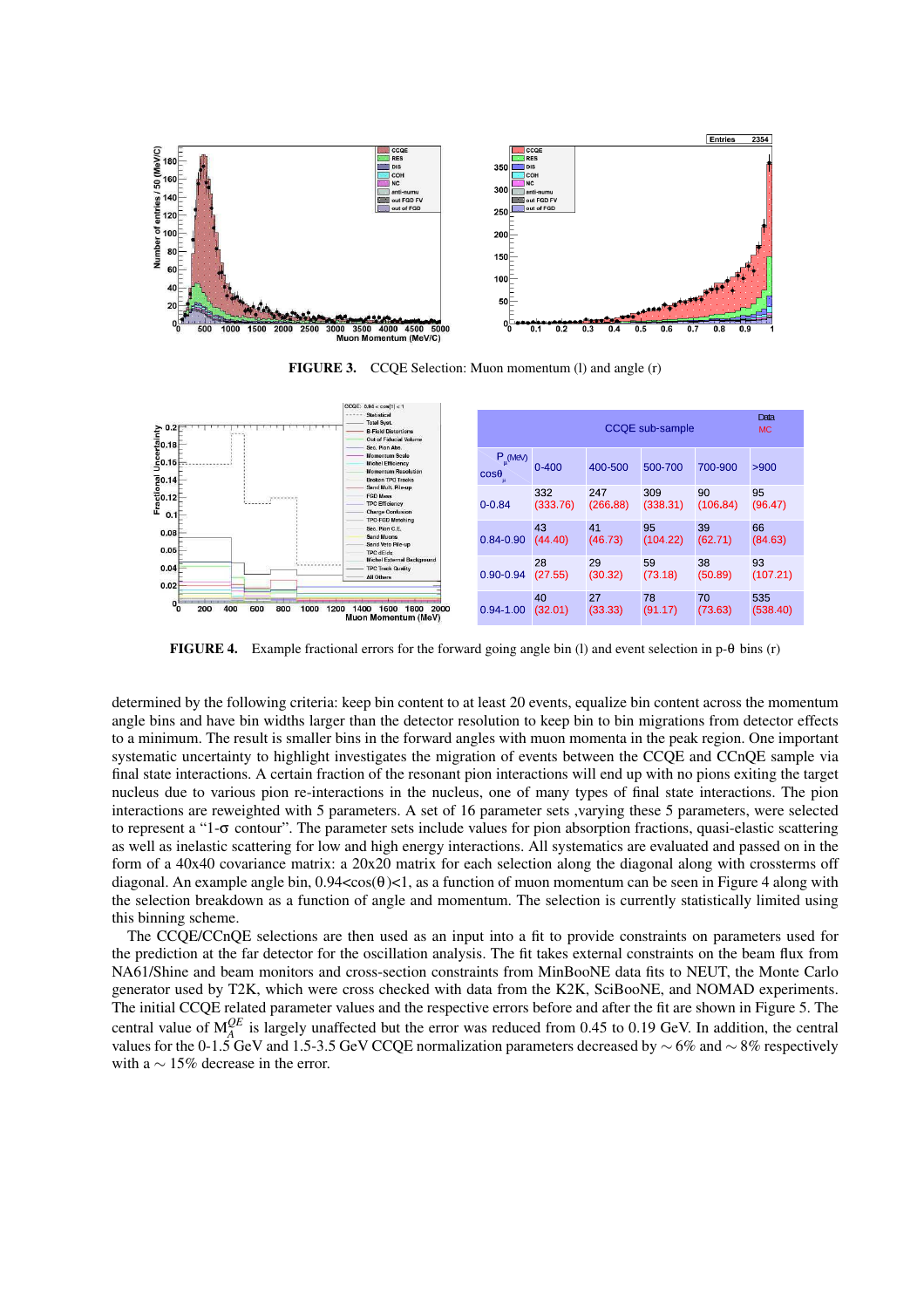

FIGURE 3. CCQE Selection: Muon momentum (l) and angle (r)



FIGURE 4. Example fractional errors for the forward going angle bin (l) and event selection in p-θ bins (r)

determined by the following criteria: keep bin content to at least 20 events, equalize bin content across the momentum angle bins and have bin widths larger than the detector resolution to keep bin to bin migrations from detector effects to a minimum. The result is smaller bins in the forward angles with muon momenta in the peak region. One important systematic uncertainty to highlight investigates the migration of events between the CCQE and CCnQE sample via final state interactions. A certain fraction of the resonant pion interactions will end up with no pions exiting the target nucleus due to various pion re-interactions in the nucleus, one of many types of final state interactions. The pion interactions are reweighted with 5 parameters. A set of 16 parameter sets ,varying these 5 parameters, were selected to represent a "1- $\sigma$  contour". The parameter sets include values for pion absorption fractions, quasi-elastic scattering as well as inelastic scattering for low and high energy interactions. All systematics are evaluated and passed on in the form of a 40x40 covariance matrix: a 20x20 matrix for each selection along the diagonal along with crossterms off diagonal. An example angle bin,  $0.94 < cos(\theta) < 1$ , as a function of muon momentum can be seen in Figure 4 along with the selection breakdown as a function of angle and momentum. The selection is currently statistically limited using this binning scheme.

The CCQE/CCnQE selections are then used as an input into a fit to provide constraints on parameters used for the prediction at the far detector for the oscillation analysis. The fit takes external constraints on the beam flux from NA61/Shine and beam monitors and cross-section constraints from MinBooNE data fits to NEUT, the Monte Carlo generator used by T2K, which were cross checked with data from the K2K, SciBooNE, and NOMAD experiments. The initial CCQE related parameter values and the respective errors before and after the fit are shown in Figure 5. The central value of  $M_A^{QE}$  is largely unaffected but the error was reduced from 0.45 to 0.19 GeV. In addition, the central values for the 0-1.5 GeV and 1.5-3.5 GeV CCQE normalization parameters decreased by  $\sim$  6% and  $\sim$  8% respectively with a  $\sim$  15% decrease in the error.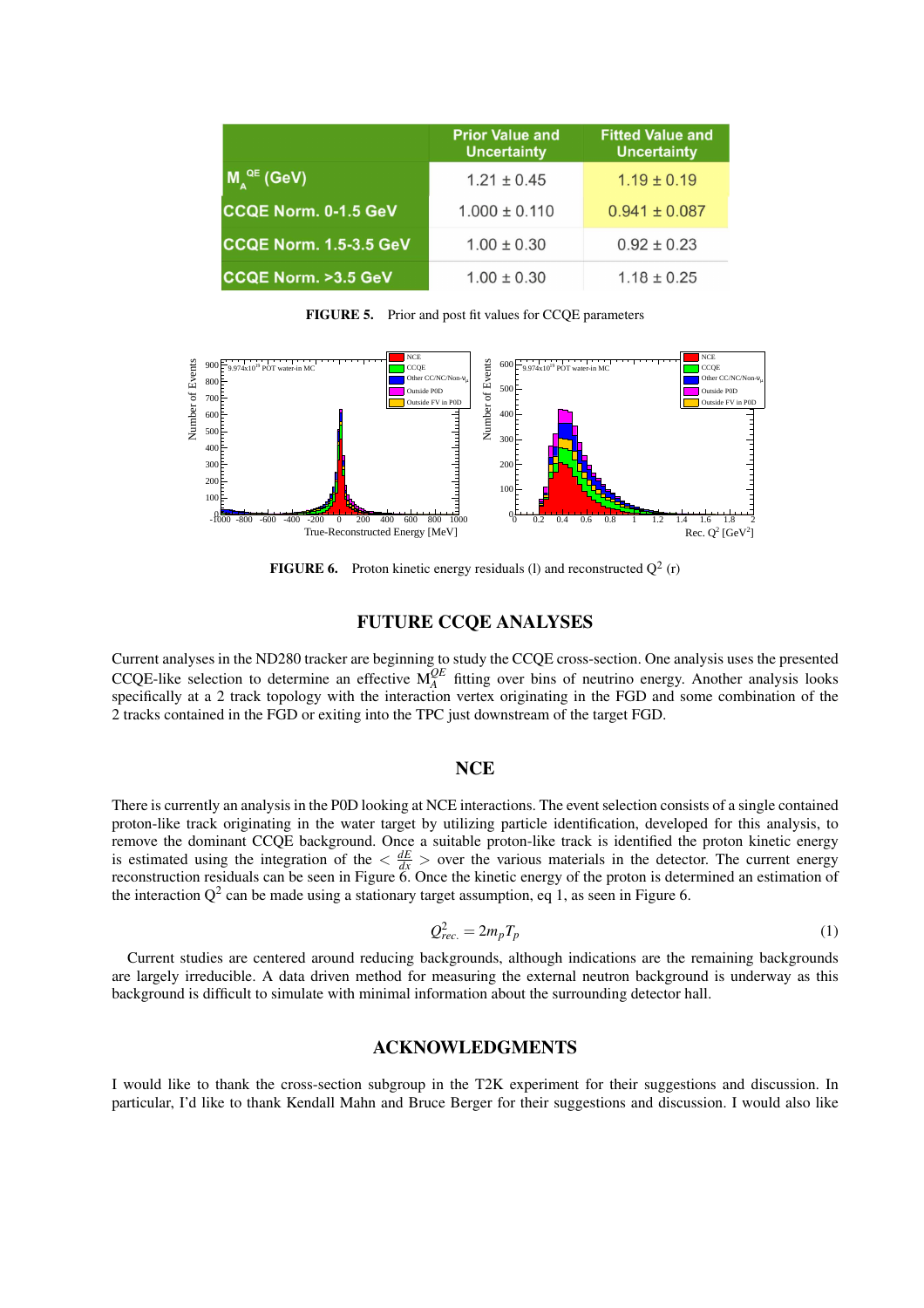|                               | <b>Prior Value and</b><br><b>Uncertainty</b> | <b>Fitted Value and</b><br><b>Uncertainty</b> |
|-------------------------------|----------------------------------------------|-----------------------------------------------|
| $M_{\lambda}^{QE}$ (GeV)      | $1.21 \pm 0.45$                              | $1.19 \pm 0.19$                               |
| <b>CCQE Norm. 0-1.5 GeV</b>   | $1.000 \pm 0.110$                            | $0.941 \pm 0.087$                             |
| CCQE Norm. 1.5-3.5 GeV        | $1.00 \pm 0.30$                              | $0.92 \pm 0.23$                               |
| <b>CCQE Norm. &gt;3.5 GeV</b> | $1.00 \pm 0.30$                              | $1.18 \pm 0.25$                               |

FIGURE 5. Prior and post fit values for CCQE parameters



**FIGURE 6.** Proton kinetic energy residuals (1) and reconstructed  $Q^2$  (r)

# FUTURE CCQE ANALYSES

Current analyses in the ND280 tracker are beginning to study the CCQE cross-section. One analysis uses the presented CCQE-like selection to determine an effective  $M_A^{QE}$  fitting over bins of neutrino energy. Another analysis looks specifically at a 2 track topology with the interaction vertex originating in the FGD and some combination of the 2 tracks contained in the FGD or exiting into the TPC just downstream of the target FGD.

#### **NCE**

There is currently an analysis in the P0D looking at NCE interactions. The event selection consists of a single contained proton-like track originating in the water target by utilizing particle identification, developed for this analysis, to remove the dominant CCQE background. Once a suitable proton-like track is identified the proton kinetic energy is estimated using the integration of the  $\langle \frac{dE}{dx} \rangle$  over the various materials in the detector. The current energy reconstruction residuals can be seen in Figure 6. Once the kinetic energy of the proton is determined an estimation of the interaction  $Q^2$  can be made using a stationary target assumption, eq 1, as seen in Figure 6.

$$
Q_{rec.}^2 = 2m_p T_p \tag{1}
$$

Current studies are centered around reducing backgrounds, although indications are the remaining backgrounds are largely irreducible. A data driven method for measuring the external neutron background is underway as this background is difficult to simulate with minimal information about the surrounding detector hall.

#### ACKNOWLEDGMENTS

I would like to thank the cross-section subgroup in the T2K experiment for their suggestions and discussion. In particular, I'd like to thank Kendall Mahn and Bruce Berger for their suggestions and discussion. I would also like